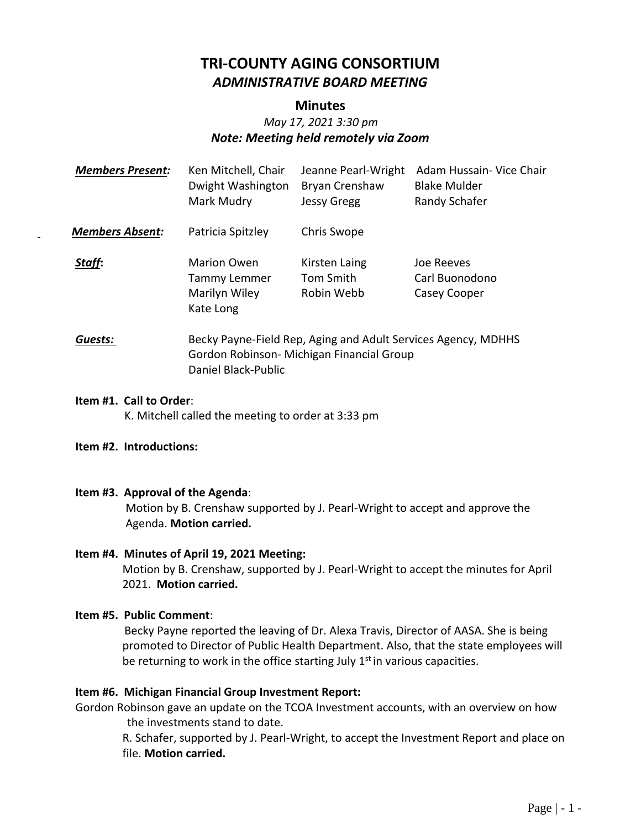# **TRI-COUNTY AGING CONSORTIUM** *ADMINISTRATIVE BOARD MEETING*

### **Minutes**

# *May 17, 2021 3:30 pm Note: Meeting held remotely via Zoom*

| <b>Members Present:</b> | Ken Mitchell, Chair<br>Dwight Washington<br>Mark Mudry                                                                            | Jeanne Pearl-Wright<br><b>Bryan Crenshaw</b><br><b>Jessy Gregg</b> | Adam Hussain- Vice Chair<br><b>Blake Mulder</b><br>Randy Schafer |
|-------------------------|-----------------------------------------------------------------------------------------------------------------------------------|--------------------------------------------------------------------|------------------------------------------------------------------|
| <b>Members Absent:</b>  | Patricia Spitzley                                                                                                                 | Chris Swope                                                        |                                                                  |
| Staff:                  | <b>Marion Owen</b><br><b>Tammy Lemmer</b><br>Marilyn Wiley<br>Kate Long                                                           | Kirsten Laing<br>Tom Smith<br>Robin Webb                           | Joe Reeves<br>Carl Buonodono<br>Casey Cooper                     |
| Guests:                 | Becky Payne-Field Rep, Aging and Adult Services Agency, MDHHS<br>Gordon Robinson- Michigan Financial Group<br>Daniel Black-Public |                                                                    |                                                                  |

**Item #1. Call to Order**: K. Mitchell called the meeting to order at 3:33 pm

#### **Item #2. Introductions:**

#### **Item #3. Approval of the Agenda**:

Motion by B. Crenshaw supported by J. Pearl-Wright to accept and approve the Agenda. **Motion carried.**

#### **Item #4. Minutes of April 19, 2021 Meeting:**

Motion by B. Crenshaw, supported by J. Pearl-Wright to accept the minutes for April 2021. **Motion carried.**

#### **Item #5. Public Comment**:

 Becky Payne reported the leaving of Dr. Alexa Travis, Director of AASA. She is being promoted to Director of Public Health Department. Also, that the state employees will be returning to work in the office starting July  $1<sup>st</sup>$  in various capacities.

#### **Item #6. Michigan Financial Group Investment Report:**

Gordon Robinson gave an update on the TCOA Investment accounts, with an overview on how the investments stand to date.

R. Schafer, supported by J. Pearl-Wright, to accept the Investment Report and place on file. **Motion carried.**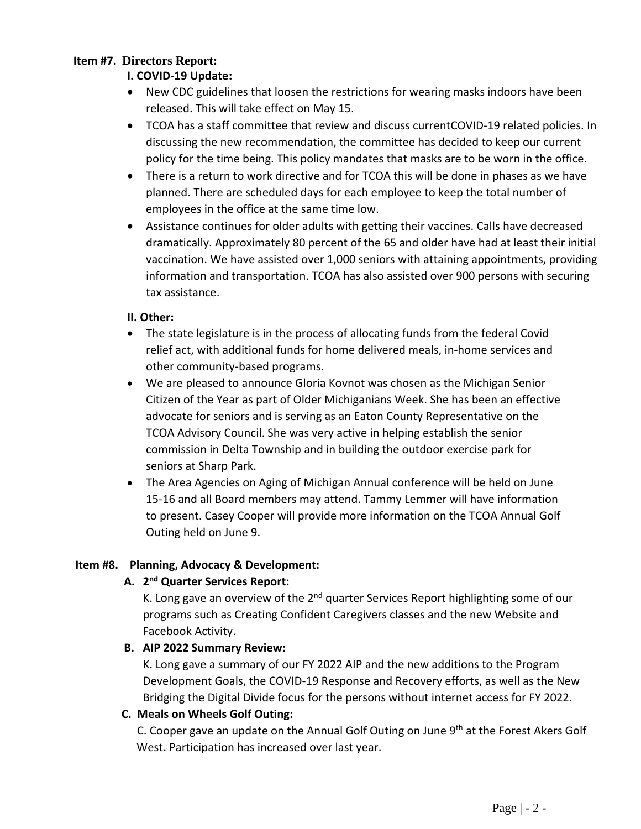# **Item #7. Directors Report:**

# **I. COVID-19 Update:**

- New CDC guidelines that loosen the restrictions for wearing masks indoors have been released. This will take effect on May 15.
- TCOA has a staff committee that review and discuss currentCOVID-19 related policies. In discussing the new recommendation, the committee has decided to keep our current policy for the time being. This policy mandates that masks are to be worn in the office.
- There is a return to work directive and for TCOA this will be done in phases as we have planned. There are scheduled days for each employee to keep the total number of employees in the office at the same time low.
- Assistance continues for older adults with getting their vaccines. Calls have decreased dramatically. Approximately 80 percent of the 65 and older have had at least their initial vaccination. We have assisted over 1,000 seniors with attaining appointments, providing information and transportation. TCOA has also assisted over 900 persons with securing tax assistance.

# **II. Other:**

- The state legislature is in the process of allocating funds from the federal Covid relief act, with additional funds for home delivered meals, in-home services and other community-based programs.
- We are pleased to announce Gloria Kovnot was chosen as the Michigan Senior Citizen of the Year as part of Older Michiganians Week. She has been an effective advocate for seniors and is serving as an Eaton County Representative on the TCOA Advisory Council. She was very active in helping establish the senior commission in Delta Township and in building the outdoor exercise park for seniors at Sharp Park.
- The Area Agencies on Aging of Michigan Annual conference will be held on June 15-16 and all Board members may attend. Tammy Lemmer will have information to present. Casey Cooper will provide more information on the TCOA Annual Golf Outing held on June 9.

# **Item #8. Planning, Advocacy & Development:**

# **A. 2 nd Quarter Services Report:**

K. Long gave an overview of the  $2<sup>nd</sup>$  quarter Services Report highlighting some of our programs such as Creating Confident Caregivers classes and the new Website and Facebook Activity.

# **B. AIP 2022 Summary Review:**

K. Long gave a summary of our FY 2022 AIP and the new additions to the Program Development Goals, the COVID-19 Response and Recovery efforts, as well as the New Bridging the Digital Divide focus for the persons without internet access for FY 2022.

# **C. Meals on Wheels Golf Outing:**

C. Cooper gave an update on the Annual Golf Outing on June  $9<sup>th</sup>$  at the Forest Akers Golf West. Participation has increased over last year.